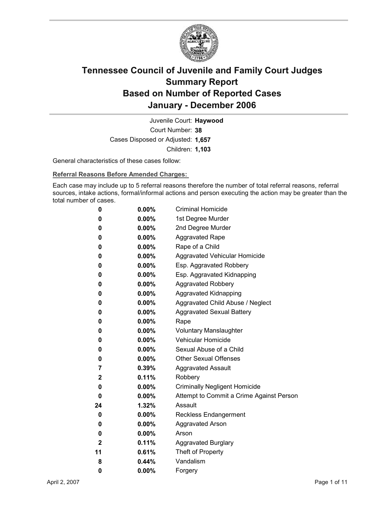

Court Number: **38** Juvenile Court: **Haywood** Cases Disposed or Adjusted: **1,657** Children: **1,103**

General characteristics of these cases follow:

**Referral Reasons Before Amended Charges:** 

Each case may include up to 5 referral reasons therefore the number of total referral reasons, referral sources, intake actions, formal/informal actions and person executing the action may be greater than the total number of cases.

| 0            | $0.00\%$ | <b>Criminal Homicide</b>                 |
|--------------|----------|------------------------------------------|
| 0            | $0.00\%$ | 1st Degree Murder                        |
| 0            | $0.00\%$ | 2nd Degree Murder                        |
| 0            | $0.00\%$ | <b>Aggravated Rape</b>                   |
| 0            | $0.00\%$ | Rape of a Child                          |
| 0            | $0.00\%$ | Aggravated Vehicular Homicide            |
| 0            | $0.00\%$ | Esp. Aggravated Robbery                  |
| 0            | $0.00\%$ | Esp. Aggravated Kidnapping               |
| 0            | $0.00\%$ | Aggravated Robbery                       |
| 0            | $0.00\%$ | <b>Aggravated Kidnapping</b>             |
| 0            | $0.00\%$ | Aggravated Child Abuse / Neglect         |
| 0            | $0.00\%$ | <b>Aggravated Sexual Battery</b>         |
| 0            | $0.00\%$ | Rape                                     |
| 0            | $0.00\%$ | <b>Voluntary Manslaughter</b>            |
| 0            | $0.00\%$ | <b>Vehicular Homicide</b>                |
| 0            | $0.00\%$ | Sexual Abuse of a Child                  |
| 0            | $0.00\%$ | <b>Other Sexual Offenses</b>             |
| 7            | $0.39\%$ | <b>Aggravated Assault</b>                |
| $\mathbf{2}$ | 0.11%    | Robbery                                  |
| 0            | $0.00\%$ | <b>Criminally Negligent Homicide</b>     |
| 0            | $0.00\%$ | Attempt to Commit a Crime Against Person |
| 24           | $1.32\%$ | Assault                                  |
| 0            | $0.00\%$ | <b>Reckless Endangerment</b>             |
| 0            | $0.00\%$ | <b>Aggravated Arson</b>                  |
| 0            | $0.00\%$ | Arson                                    |
| 2            | 0.11%    | <b>Aggravated Burglary</b>               |
| 11           | 0.61%    | Theft of Property                        |
| 8            | $0.44\%$ | Vandalism                                |
| 0            | 0.00%    | Forgery                                  |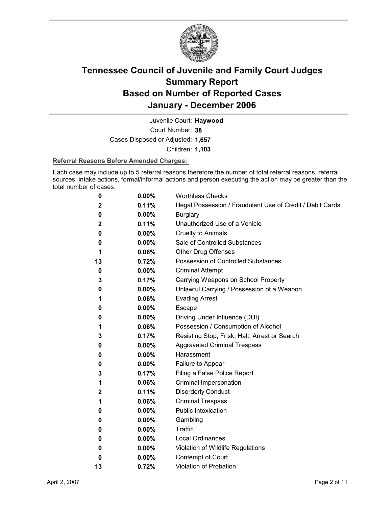

Court Number: **38** Juvenile Court: **Haywood** Cases Disposed or Adjusted: **1,657** Children: **1,103**

### **Referral Reasons Before Amended Charges:**

Each case may include up to 5 referral reasons therefore the number of total referral reasons, referral sources, intake actions, formal/informal actions and person executing the action may be greater than the total number of cases.

| 0           | $0.00\%$ | <b>Worthless Checks</b>                                     |  |
|-------------|----------|-------------------------------------------------------------|--|
| 2           | 0.11%    | Illegal Possession / Fraudulent Use of Credit / Debit Cards |  |
| 0           | 0.00%    | <b>Burglary</b>                                             |  |
| 2           | 0.11%    | Unauthorized Use of a Vehicle                               |  |
| 0           | $0.00\%$ | <b>Cruelty to Animals</b>                                   |  |
| 0           | 0.00%    | Sale of Controlled Substances                               |  |
| 1           | 0.06%    | Other Drug Offenses                                         |  |
| 13          | 0.72%    | Possession of Controlled Substances                         |  |
| 0           | $0.00\%$ | <b>Criminal Attempt</b>                                     |  |
| 3           | 0.17%    | Carrying Weapons on School Property                         |  |
| 0           | $0.00\%$ | Unlawful Carrying / Possession of a Weapon                  |  |
| 1           | 0.06%    | <b>Evading Arrest</b>                                       |  |
| 0           | 0.00%    | Escape                                                      |  |
| 0           | 0.00%    | Driving Under Influence (DUI)                               |  |
| 1           | 0.06%    | Possession / Consumption of Alcohol                         |  |
| 3           | 0.17%    | Resisting Stop, Frisk, Halt, Arrest or Search               |  |
| 0           | $0.00\%$ | <b>Aggravated Criminal Trespass</b>                         |  |
| 0           | 0.00%    | Harassment                                                  |  |
| 0           | $0.00\%$ | Failure to Appear                                           |  |
| 3           | 0.17%    | Filing a False Police Report                                |  |
| 1           | 0.06%    | Criminal Impersonation                                      |  |
| $\mathbf 2$ | 0.11%    | <b>Disorderly Conduct</b>                                   |  |
| 1           | 0.06%    | <b>Criminal Trespass</b>                                    |  |
| 0           | 0.00%    | Public Intoxication                                         |  |
| 0           | $0.00\%$ | Gambling                                                    |  |
| 0           | 0.00%    | Traffic                                                     |  |
| 0           | $0.00\%$ | <b>Local Ordinances</b>                                     |  |
| 0           | $0.00\%$ | Violation of Wildlife Regulations                           |  |
| 0           | $0.00\%$ | Contempt of Court                                           |  |
| 13          | 0.72%    | <b>Violation of Probation</b>                               |  |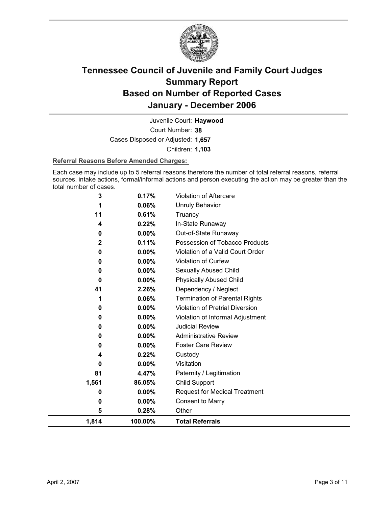

Court Number: **38** Juvenile Court: **Haywood** Cases Disposed or Adjusted: **1,657** Children: **1,103**

### **Referral Reasons Before Amended Charges:**

Each case may include up to 5 referral reasons therefore the number of total referral reasons, referral sources, intake actions, formal/informal actions and person executing the action may be greater than the total number of cases.

| 1,814        | 100.00%        | <b>Total Referrals</b>                                        |
|--------------|----------------|---------------------------------------------------------------|
| 5            | 0.28%          | Other                                                         |
| 0            | 0.00%          | <b>Consent to Marry</b>                                       |
| 0            | $0.00\%$       | <b>Request for Medical Treatment</b>                          |
| 1,561        | 86.05%         | Child Support                                                 |
| 81           | 4.47%          | Paternity / Legitimation                                      |
| 0            | 0.00%          | Visitation                                                    |
| 4            | 0.22%          | Custody                                                       |
| 0            | $0.00\%$       | <b>Foster Care Review</b>                                     |
| 0            | 0.00%          | <b>Administrative Review</b>                                  |
| 0            | 0.00%          | <b>Judicial Review</b>                                        |
| 0            | 0.00%          | Violation of Informal Adjustment                              |
| 0            | 0.00%          | <b>Violation of Pretrial Diversion</b>                        |
| 41           | 2.26%<br>0.06% | Dependency / Neglect<br><b>Termination of Parental Rights</b> |
| 0            | 0.00%          | <b>Physically Abused Child</b>                                |
| 0            | 0.00%          | Sexually Abused Child                                         |
| 0            | 0.00%          | Violation of Curfew                                           |
| 0            | $0.00\%$       | Violation of a Valid Court Order                              |
| $\mathbf{2}$ | 0.11%          | Possession of Tobacco Products                                |
| 0            | 0.00%          | Out-of-State Runaway                                          |
| 4            | 0.22%          | In-State Runaway                                              |
| 11           | 0.61%          | Truancy                                                       |
| 1            | 0.06%          | Unruly Behavior                                               |
| 3            | 0.17%          | Violation of Aftercare                                        |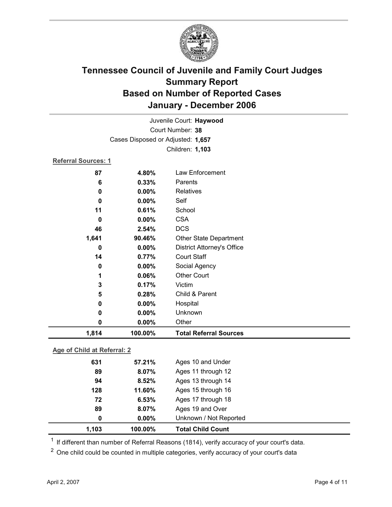

| Juvenile Court: Haywood     |                                   |                                   |  |  |
|-----------------------------|-----------------------------------|-----------------------------------|--|--|
| Court Number: 38            |                                   |                                   |  |  |
|                             | Cases Disposed or Adjusted: 1,657 |                                   |  |  |
|                             |                                   | Children: 1,103                   |  |  |
| <b>Referral Sources: 1</b>  |                                   |                                   |  |  |
| 87                          | 4.80%                             | Law Enforcement                   |  |  |
| 6                           | 0.33%                             | Parents                           |  |  |
| $\mathbf 0$                 | 0.00%                             | Relatives                         |  |  |
| $\bf{0}$                    | 0.00%                             | Self                              |  |  |
| 11                          | 0.61%                             | School                            |  |  |
| $\mathbf 0$                 | 0.00%                             | <b>CSA</b>                        |  |  |
| 46                          | 2.54%                             | <b>DCS</b>                        |  |  |
| 1,641                       | 90.46%                            | <b>Other State Department</b>     |  |  |
| 0                           | 0.00%                             | <b>District Attorney's Office</b> |  |  |
| 14                          | 0.77%                             | <b>Court Staff</b>                |  |  |
| $\pmb{0}$                   | 0.00%                             | Social Agency                     |  |  |
| 1                           | 0.06%                             | <b>Other Court</b>                |  |  |
| 3                           | 0.17%                             | Victim                            |  |  |
| 5                           | 0.28%                             | Child & Parent                    |  |  |
| $\mathbf 0$                 | 0.00%                             | Hospital                          |  |  |
| 0                           | 0.00%                             | Unknown                           |  |  |
| $\mathbf 0$                 | 0.00%                             | Other                             |  |  |
| 1,814                       | 100.00%                           | <b>Total Referral Sources</b>     |  |  |
| Age of Child at Referral: 2 |                                   |                                   |  |  |
| 631                         | 57.21%                            | Ages 10 and Under                 |  |  |
| 89                          | 8.07%                             | Ages 11 through 12                |  |  |
| 94                          | 8.52%                             | Ages 13 through 14                |  |  |
| 128                         | 11.60%                            | Ages 15 through 16                |  |  |

**72 6.53%** Ages 17 through 18 **89 8.07%** Ages 19 and Over **0 0.00%** Unknown / Not Reported **1,103 100.00% Total Child Count**

 $1$  If different than number of Referral Reasons (1814), verify accuracy of your court's data.

<sup>2</sup> One child could be counted in multiple categories, verify accuracy of your court's data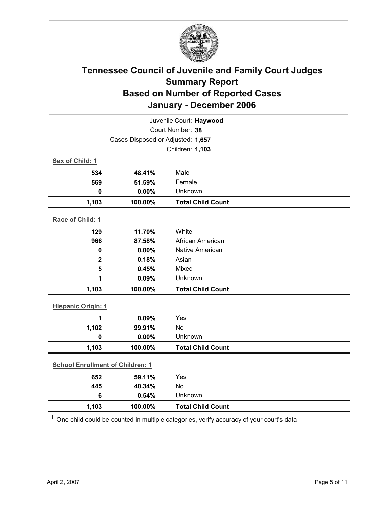

| Juvenile Court: Haywood                 |                                   |                          |  |  |
|-----------------------------------------|-----------------------------------|--------------------------|--|--|
| Court Number: 38                        |                                   |                          |  |  |
|                                         | Cases Disposed or Adjusted: 1,657 |                          |  |  |
|                                         |                                   | Children: 1,103          |  |  |
| Sex of Child: 1                         |                                   |                          |  |  |
| 534                                     | 48.41%                            | Male                     |  |  |
| 569                                     | 51.59%                            | Female                   |  |  |
| $\mathbf 0$                             | 0.00%                             | Unknown                  |  |  |
| 1,103                                   | 100.00%                           | <b>Total Child Count</b> |  |  |
| Race of Child: 1                        |                                   |                          |  |  |
| 129                                     | 11.70%                            | White                    |  |  |
| 966                                     | 87.58%                            | African American         |  |  |
| $\mathbf 0$                             | 0.00%                             | Native American          |  |  |
| $\mathbf 2$                             | 0.18%                             | Asian                    |  |  |
| 5                                       | 0.45%                             | Mixed                    |  |  |
| 1                                       | 0.09%                             | Unknown                  |  |  |
| 1,103                                   | 100.00%                           | <b>Total Child Count</b> |  |  |
| <b>Hispanic Origin: 1</b>               |                                   |                          |  |  |
| 1                                       | 0.09%                             | Yes                      |  |  |
| 1,102                                   | 99.91%                            | No                       |  |  |
| $\mathbf 0$                             | 0.00%                             | Unknown                  |  |  |
| 1,103                                   | 100.00%                           | <b>Total Child Count</b> |  |  |
| <b>School Enrollment of Children: 1</b> |                                   |                          |  |  |
| 652                                     | 59.11%                            | Yes                      |  |  |
| 445                                     | 40.34%                            | <b>No</b>                |  |  |
| $6\phantom{1}$                          | 0.54%                             | Unknown                  |  |  |
| 1,103                                   | 100.00%                           | <b>Total Child Count</b> |  |  |

 $1$  One child could be counted in multiple categories, verify accuracy of your court's data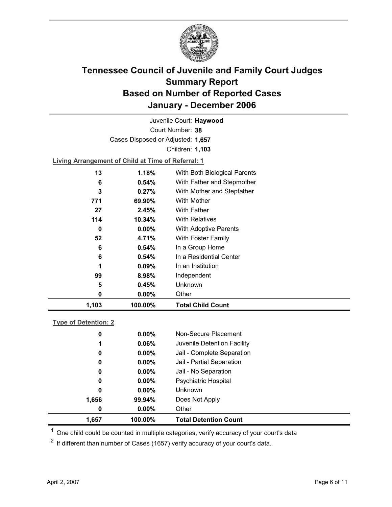

Court Number: **38** Juvenile Court: **Haywood** Cases Disposed or Adjusted: **1,657** Children: **1,103**

**Living Arrangement of Child at Time of Referral: 1**

| 1,103 | 100.00%   | <b>Total Child Count</b>     |  |
|-------|-----------|------------------------------|--|
| 0     | $0.00\%$  | Other                        |  |
| 5     | 0.45%     | <b>Unknown</b>               |  |
| 99    | 8.98%     | Independent                  |  |
| 1     | $0.09\%$  | In an Institution            |  |
| 6     | 0.54%     | In a Residential Center      |  |
| 6     | 0.54%     | In a Group Home              |  |
| 52    | 4.71%     | With Foster Family           |  |
| 0     | $0.00\%$  | <b>With Adoptive Parents</b> |  |
| 114   | $10.34\%$ | <b>With Relatives</b>        |  |
| 27    | 2.45%     | With Father                  |  |
| 771   | 69.90%    | With Mother                  |  |
| 3     | 0.27%     | With Mother and Stepfather   |  |
| 6     | 0.54%     | With Father and Stepmother   |  |
| 13    | 1.18%     | With Both Biological Parents |  |
|       |           |                              |  |

### **Type of Detention: 2**

| 1,657 | 100.00%  | <b>Total Detention Count</b> |  |
|-------|----------|------------------------------|--|
| 0     | $0.00\%$ | Other                        |  |
| 1,656 | 99.94%   | Does Not Apply               |  |
| 0     | $0.00\%$ | <b>Unknown</b>               |  |
| 0     | $0.00\%$ | <b>Psychiatric Hospital</b>  |  |
| 0     | $0.00\%$ | Jail - No Separation         |  |
| 0     | $0.00\%$ | Jail - Partial Separation    |  |
| 0     | $0.00\%$ | Jail - Complete Separation   |  |
| 1     | 0.06%    | Juvenile Detention Facility  |  |
| 0     | $0.00\%$ | Non-Secure Placement         |  |
|       |          |                              |  |

 $<sup>1</sup>$  One child could be counted in multiple categories, verify accuracy of your court's data</sup>

 $2$  If different than number of Cases (1657) verify accuracy of your court's data.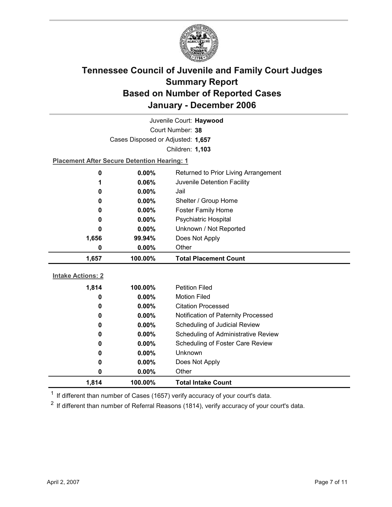

| Juvenile Court: Haywood  |                                                    |                                      |  |  |
|--------------------------|----------------------------------------------------|--------------------------------------|--|--|
|                          | Court Number: 38                                   |                                      |  |  |
|                          | Cases Disposed or Adjusted: 1,657                  |                                      |  |  |
|                          |                                                    | Children: 1,103                      |  |  |
|                          | <b>Placement After Secure Detention Hearing: 1</b> |                                      |  |  |
| $\mathbf 0$              | 0.00%                                              | Returned to Prior Living Arrangement |  |  |
| 1                        | 0.06%                                              | Juvenile Detention Facility          |  |  |
| 0                        | 0.00%                                              | Jail                                 |  |  |
| 0                        | $0.00\%$                                           | Shelter / Group Home                 |  |  |
| 0                        | $0.00\%$                                           | <b>Foster Family Home</b>            |  |  |
| 0                        | 0.00%                                              | Psychiatric Hospital                 |  |  |
| 0                        | $0.00\%$                                           | Unknown / Not Reported               |  |  |
| 1,656                    | 99.94%                                             | Does Not Apply                       |  |  |
| 0                        | $0.00\%$                                           | Other                                |  |  |
|                          |                                                    |                                      |  |  |
| 1,657                    | 100.00%                                            | <b>Total Placement Count</b>         |  |  |
|                          |                                                    |                                      |  |  |
| <b>Intake Actions: 2</b> |                                                    |                                      |  |  |
| 1,814                    | 100.00%                                            | <b>Petition Filed</b>                |  |  |
| 0                        | $0.00\%$                                           | <b>Motion Filed</b>                  |  |  |
| 0                        | $0.00\%$                                           | <b>Citation Processed</b>            |  |  |
| 0                        | 0.00%                                              | Notification of Paternity Processed  |  |  |
| 0                        | 0.00%                                              | Scheduling of Judicial Review        |  |  |
| 0                        | 0.00%                                              | Scheduling of Administrative Review  |  |  |
| 0                        | 0.00%                                              | Scheduling of Foster Care Review     |  |  |
| 0                        | 0.00%                                              | Unknown                              |  |  |
| 0                        | $0.00\%$                                           | Does Not Apply                       |  |  |
| 0<br>1,814               | 0.00%<br>100.00%                                   | Other<br><b>Total Intake Count</b>   |  |  |

 $1$  If different than number of Cases (1657) verify accuracy of your court's data.

 $2$  If different than number of Referral Reasons (1814), verify accuracy of your court's data.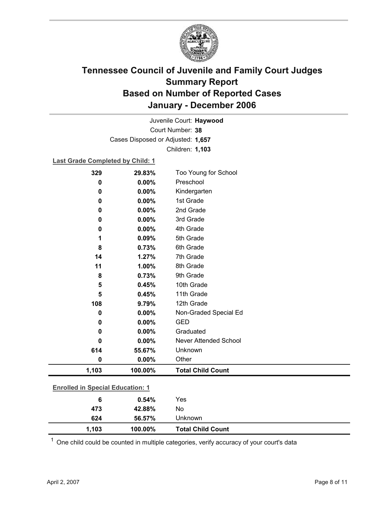

Court Number: **38** Juvenile Court: **Haywood** Cases Disposed or Adjusted: **1,657** Children: **1,103**

### **Last Grade Completed by Child: 1**

| 329                                     | 29.83%  | Too Young for School     |  |
|-----------------------------------------|---------|--------------------------|--|
| 0                                       | 0.00%   | Preschool                |  |
| 0                                       | 0.00%   | Kindergarten             |  |
| 0                                       | 0.00%   | 1st Grade                |  |
| 0                                       | 0.00%   | 2nd Grade                |  |
| 0                                       | 0.00%   | 3rd Grade                |  |
| 0                                       | 0.00%   | 4th Grade                |  |
| 1                                       | 0.09%   | 5th Grade                |  |
| 8                                       | 0.73%   | 6th Grade                |  |
| 14                                      | 1.27%   | 7th Grade                |  |
| 11                                      | 1.00%   | 8th Grade                |  |
| 8                                       | 0.73%   | 9th Grade                |  |
| 5                                       | 0.45%   | 10th Grade               |  |
| 5                                       | 0.45%   | 11th Grade               |  |
| 108                                     | 9.79%   | 12th Grade               |  |
| 0                                       | 0.00%   | Non-Graded Special Ed    |  |
| 0                                       | 0.00%   | <b>GED</b>               |  |
| 0                                       | 0.00%   | Graduated                |  |
| 0                                       | 0.00%   | Never Attended School    |  |
| 614                                     | 55.67%  | Unknown                  |  |
| $\bf{0}$                                | 0.00%   | Other                    |  |
| 1,103                                   | 100.00% | <b>Total Child Count</b> |  |
|                                         |         |                          |  |
| <b>Enrolled in Special Education: 1</b> |         |                          |  |
| $6\phantom{1}6$                         | 0.54%   | Yes                      |  |
| 473                                     | 42.88%  | No                       |  |

 $1$  One child could be counted in multiple categories, verify accuracy of your court's data

**624 56.57%** Unknown

**1,103 100.00% Total Child Count**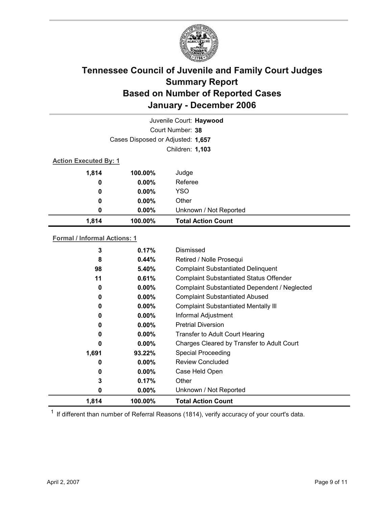

|                              |                                   | Juvenile Court: Haywood   |  |
|------------------------------|-----------------------------------|---------------------------|--|
|                              |                                   | Court Number: 38          |  |
|                              | Cases Disposed or Adjusted: 1,657 |                           |  |
|                              |                                   | Children: 1,103           |  |
| <b>Action Executed By: 1</b> |                                   |                           |  |
| 1,814                        | 100.00%                           | Judge                     |  |
| 0                            | $0.00\%$                          | Referee                   |  |
| 0                            | $0.00\%$                          | <b>YSO</b>                |  |
| 0                            | $0.00\%$                          | Other                     |  |
| 0                            | 0.00%                             | Unknown / Not Reported    |  |
| 1,814                        | 100.00%                           | <b>Total Action Count</b> |  |
|                              |                                   |                           |  |

### **Formal / Informal Actions: 1**

| 3     | 0.17%    | Dismissed                                      |
|-------|----------|------------------------------------------------|
| 8     | $0.44\%$ | Retired / Nolle Prosequi                       |
| 98    | 5.40%    | <b>Complaint Substantiated Delinquent</b>      |
| 11    | 0.61%    | <b>Complaint Substantiated Status Offender</b> |
| 0     | $0.00\%$ | Complaint Substantiated Dependent / Neglected  |
| 0     | $0.00\%$ | <b>Complaint Substantiated Abused</b>          |
| 0     | $0.00\%$ | <b>Complaint Substantiated Mentally III</b>    |
| 0     | $0.00\%$ | Informal Adjustment                            |
| 0     | $0.00\%$ | <b>Pretrial Diversion</b>                      |
| 0     | $0.00\%$ | <b>Transfer to Adult Court Hearing</b>         |
| 0     | $0.00\%$ | Charges Cleared by Transfer to Adult Court     |
| 1,691 | 93.22%   | <b>Special Proceeding</b>                      |
| 0     | $0.00\%$ | <b>Review Concluded</b>                        |
| 0     | $0.00\%$ | Case Held Open                                 |
| 3     | 0.17%    | Other                                          |
| 0     | $0.00\%$ | Unknown / Not Reported                         |
| 1,814 | 100.00%  | <b>Total Action Count</b>                      |

 $1$  If different than number of Referral Reasons (1814), verify accuracy of your court's data.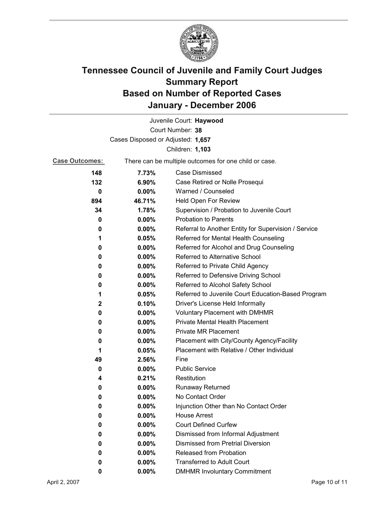

| Juvenile Court: Haywood |                                                       |                                                      |  |
|-------------------------|-------------------------------------------------------|------------------------------------------------------|--|
| Court Number: 38        |                                                       |                                                      |  |
|                         | Cases Disposed or Adjusted: 1,657                     |                                                      |  |
|                         |                                                       | Children: 1,103                                      |  |
| <b>Case Outcomes:</b>   | There can be multiple outcomes for one child or case. |                                                      |  |
| 148                     | 7.73%                                                 | <b>Case Dismissed</b>                                |  |
| 132                     | 6.90%                                                 | Case Retired or Nolle Prosequi                       |  |
| 0                       | $0.00\%$                                              | Warned / Counseled                                   |  |
| 894                     | 46.71%                                                | Held Open For Review                                 |  |
| 34                      | 1.78%                                                 | Supervision / Probation to Juvenile Court            |  |
| 0                       | $0.00\%$                                              | <b>Probation to Parents</b>                          |  |
| 0                       | $0.00\%$                                              | Referral to Another Entity for Supervision / Service |  |
| 1                       | 0.05%                                                 | Referred for Mental Health Counseling                |  |
| 0                       | $0.00\%$                                              | Referred for Alcohol and Drug Counseling             |  |
| 0                       | $0.00\%$                                              | Referred to Alternative School                       |  |
| 0                       | $0.00\%$                                              | Referred to Private Child Agency                     |  |
| 0                       | $0.00\%$                                              | Referred to Defensive Driving School                 |  |
| 0                       | $0.00\%$                                              | Referred to Alcohol Safety School                    |  |
| 1                       | 0.05%                                                 | Referred to Juvenile Court Education-Based Program   |  |
| 2                       | 0.10%                                                 | Driver's License Held Informally                     |  |
| 0                       | $0.00\%$                                              | Voluntary Placement with DMHMR                       |  |
| 0                       | $0.00\%$                                              | Private Mental Health Placement                      |  |
| 0                       | $0.00\%$                                              | <b>Private MR Placement</b>                          |  |
| 0                       | $0.00\%$                                              | Placement with City/County Agency/Facility           |  |
| 1                       | 0.05%                                                 | Placement with Relative / Other Individual           |  |
| 49                      | 2.56%                                                 | Fine                                                 |  |
| 0                       | $0.00\%$                                              | <b>Public Service</b>                                |  |
| 4                       | 0.21%                                                 | Restitution                                          |  |
| 0                       | $0.00\%$                                              | <b>Runaway Returned</b>                              |  |
| 0                       | 0.00%                                                 | No Contact Order                                     |  |
| 0                       | 0.00%                                                 | Injunction Other than No Contact Order               |  |
| 0                       | $0.00\%$                                              | <b>House Arrest</b>                                  |  |
| 0                       | $0.00\%$                                              | <b>Court Defined Curfew</b>                          |  |
| 0                       | $0.00\%$                                              | Dismissed from Informal Adjustment                   |  |
| 0                       | $0.00\%$                                              | <b>Dismissed from Pretrial Diversion</b>             |  |
| 0                       | 0.00%                                                 | Released from Probation                              |  |
| 0                       | $0.00\%$                                              | <b>Transferred to Adult Court</b>                    |  |
| 0                       | $0.00\%$                                              | <b>DMHMR Involuntary Commitment</b>                  |  |